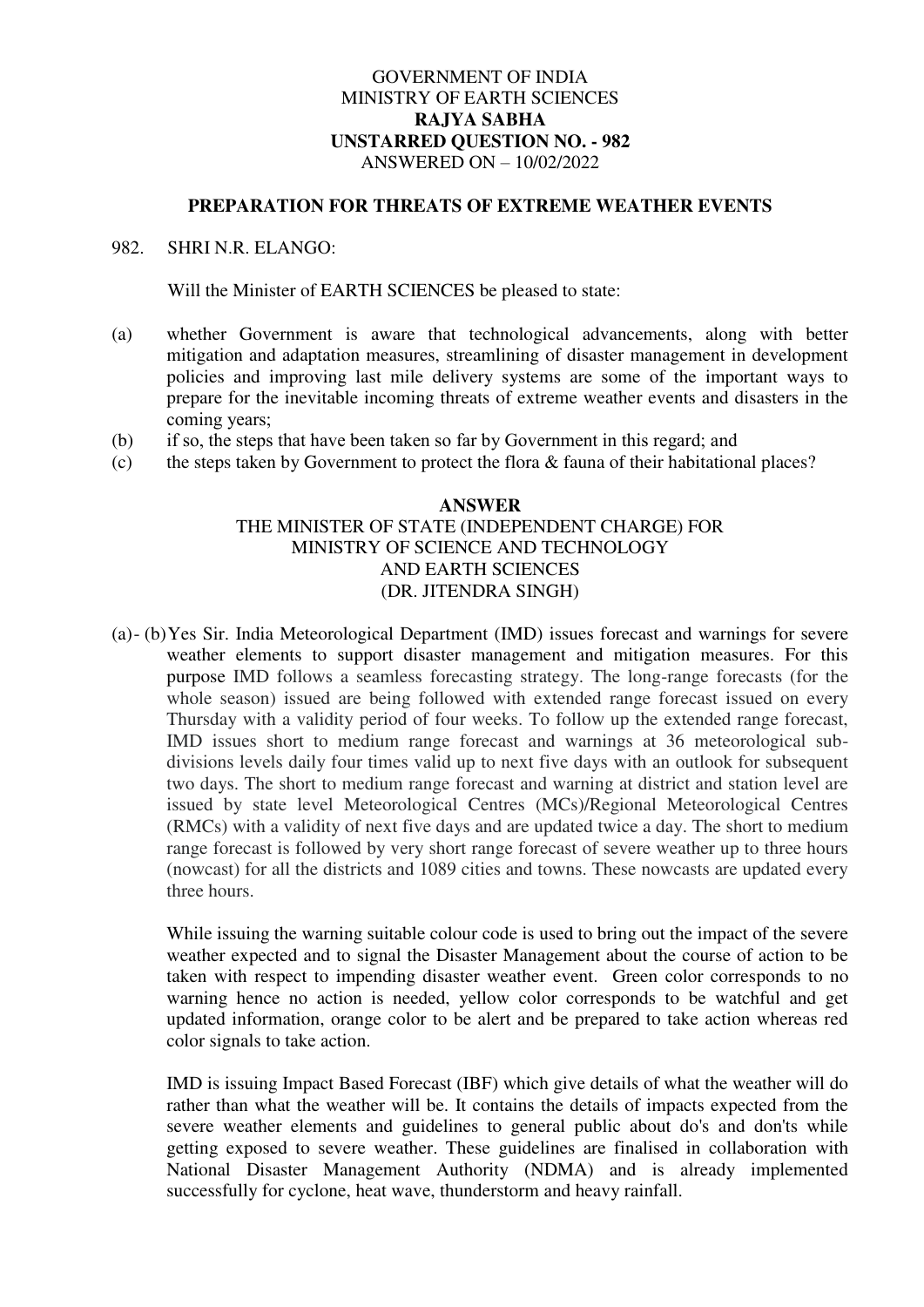# GOVERNMENT OF INDIA MINISTRY OF EARTH SCIENCES **RAJYA SABHA UNSTARRED QUESTION NO. - 982**  ANSWERED ON – 10/02/2022

#### **PREPARATION FOR THREATS OF EXTREME WEATHER EVENTS**

### 982. SHRI N.R. ELANGO:

Will the Minister of EARTH SCIENCES be pleased to state:

- (a) whether Government is aware that technological advancements, along with better mitigation and adaptation measures, streamlining of disaster management in development policies and improving last mile delivery systems are some of the important ways to prepare for the inevitable incoming threats of extreme weather events and disasters in the coming years;
- (b) if so, the steps that have been taken so far by Government in this regard; and
- (c) the steps taken by Government to protect the flora & fauna of their habitational places?

### **ANSWER**  THE MINISTER OF STATE (INDEPENDENT CHARGE) FOR MINISTRY OF SCIENCE AND TECHNOLOGY AND EARTH SCIENCES (DR. JITENDRA SINGH)

(a)- (b)Yes Sir. India Meteorological Department (IMD) issues forecast and warnings for severe weather elements to support disaster management and mitigation measures. For this purpose IMD follows a seamless forecasting strategy. The long-range forecasts (for the whole season) issued are being followed with extended range forecast issued on every Thursday with a validity period of four weeks. To follow up the extended range forecast, IMD issues short to medium range forecast and warnings at 36 meteorological subdivisions levels daily four times valid up to next five days with an outlook for subsequent two days. The short to medium range forecast and warning at district and station level are issued by state level Meteorological Centres (MCs)/Regional Meteorological Centres (RMCs) with a validity of next five days and are updated twice a day. The short to medium range forecast is followed by very short range forecast of severe weather up to three hours (nowcast) for all the districts and 1089 cities and towns. These nowcasts are updated every three hours.

While issuing the warning suitable colour code is used to bring out the impact of the severe weather expected and to signal the Disaster Management about the course of action to be taken with respect to impending disaster weather event. Green color corresponds to no warning hence no action is needed, yellow color corresponds to be watchful and get updated information, orange color to be alert and be prepared to take action whereas red color signals to take action.

IMD is issuing Impact Based Forecast (IBF) which give details of what the weather will do rather than what the weather will be. It contains the details of impacts expected from the severe weather elements and guidelines to general public about do's and don'ts while getting exposed to severe weather. These guidelines are finalised in collaboration with National Disaster Management Authority (NDMA) and is already implemented successfully for cyclone, heat wave, thunderstorm and heavy rainfall.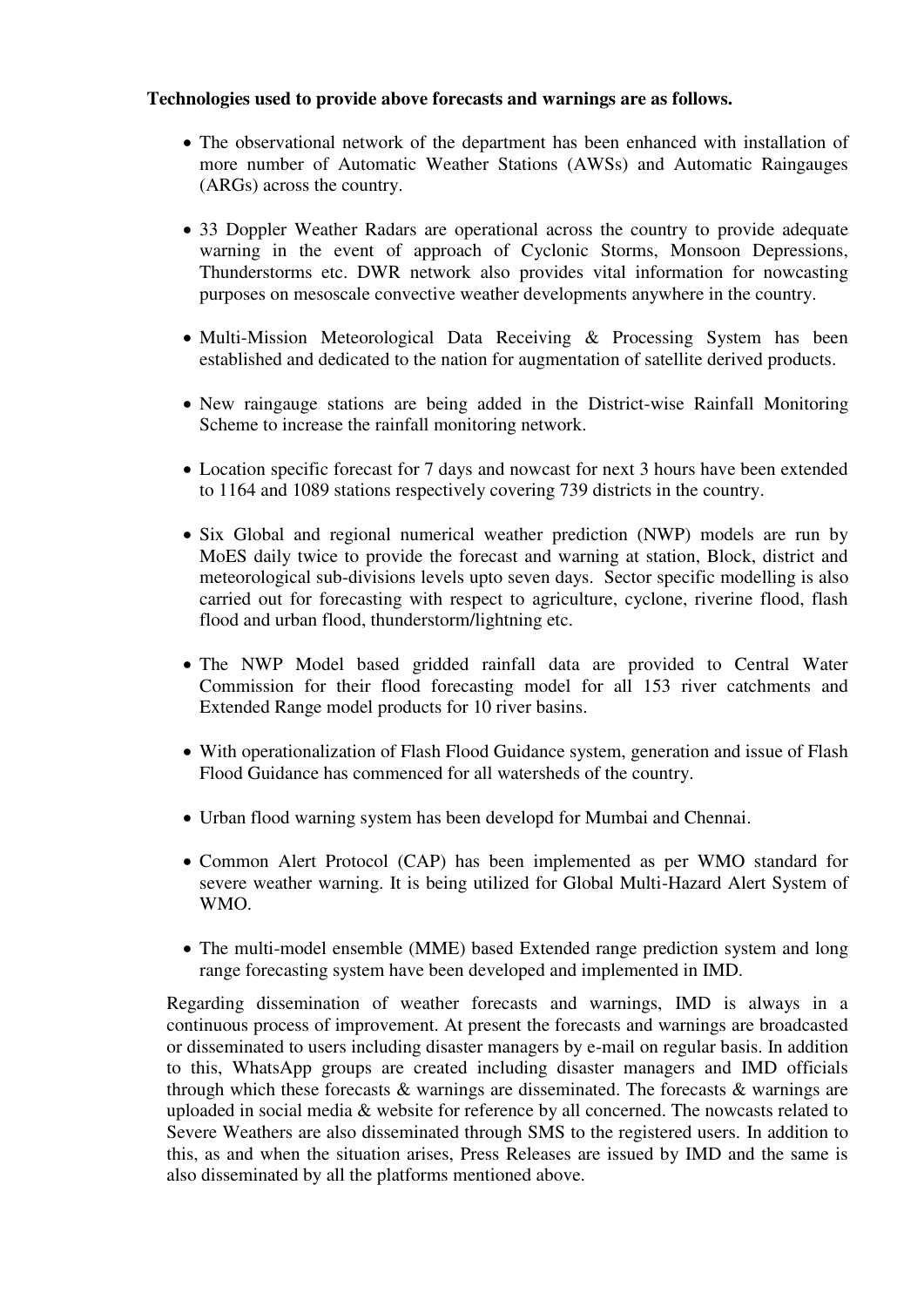# **Technologies used to provide above forecasts and warnings are as follows.**

- The observational network of the department has been enhanced with installation of more number of Automatic Weather Stations (AWSs) and Automatic Raingauges (ARGs) across the country.
- 33 Doppler Weather Radars are operational across the country to provide adequate warning in the event of approach of Cyclonic Storms, Monsoon Depressions, Thunderstorms etc. DWR network also provides vital information for nowcasting purposes on mesoscale convective weather developments anywhere in the country.
- Multi-Mission Meteorological Data Receiving & Processing System has been established and dedicated to the nation for augmentation of satellite derived products.
- New raingauge stations are being added in the District-wise Rainfall Monitoring Scheme to increase the rainfall monitoring network.
- Location specific forecast for 7 days and nowcast for next 3 hours have been extended to 1164 and 1089 stations respectively covering 739 districts in the country.
- Six Global and regional numerical weather prediction (NWP) models are run by MoES daily twice to provide the forecast and warning at station, Block, district and meteorological sub-divisions levels upto seven days. Sector specific modelling is also carried out for forecasting with respect to agriculture, cyclone, riverine flood, flash flood and urban flood, thunderstorm/lightning etc.
- The NWP Model based gridded rainfall data are provided to Central Water Commission for their flood forecasting model for all 153 river catchments and Extended Range model products for 10 river basins.
- With operationalization of Flash Flood Guidance system, generation and issue of Flash Flood Guidance has commenced for all watersheds of the country.
- Urban flood warning system has been developd for Mumbai and Chennai.
- Common Alert Protocol (CAP) has been implemented as per WMO standard for severe weather warning. It is being utilized for Global Multi-Hazard Alert System of WMO.
- The multi-model ensemble (MME) based Extended range prediction system and long range forecasting system have been developed and implemented in IMD.

Regarding dissemination of weather forecasts and warnings, IMD is always in a continuous process of improvement. At present the forecasts and warnings are broadcasted or disseminated to users including disaster managers by e-mail on regular basis. In addition to this, WhatsApp groups are created including disaster managers and IMD officials through which these forecasts & warnings are disseminated. The forecasts & warnings are uploaded in social media & website for reference by all concerned. The nowcasts related to Severe Weathers are also disseminated through SMS to the registered users. In addition to this, as and when the situation arises, Press Releases are issued by IMD and the same is also disseminated by all the platforms mentioned above.